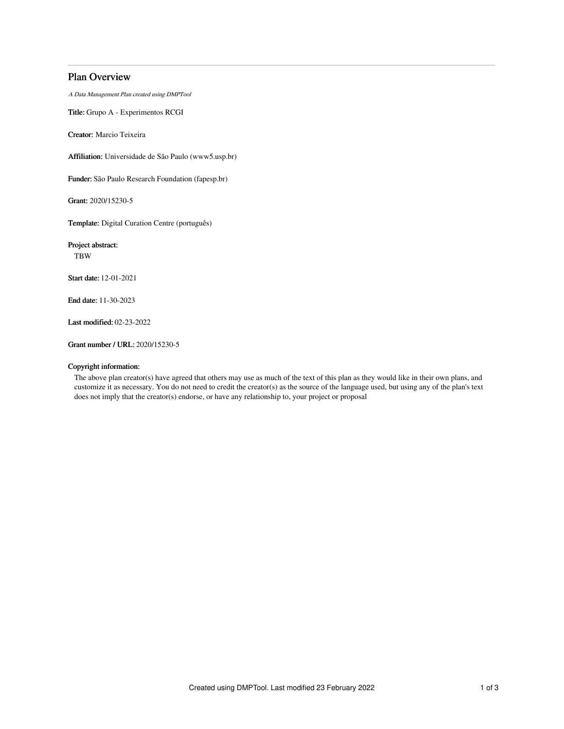# Plan Overview

A Data Management Plan created using DMPTool

Title: Grupo A - Experimentos RCGI

Creator: Marcio Teixeira

Affiliation: Universidade de São Paulo (www5.usp.br)

Funder: São Paulo Research Foundation (fapesp.br)

Grant: 2020/15230-5

Template: Digital Curation Centre (português)

Project abstract: TBW

Start date: 12-01-2021

End date: 11-30-2023

Last modified: 02-23-2022

Grant number / URL: 2020/15230-5

#### Copyright information:

The above plan creator(s) have agreed that others may use as much of the text of this plan as they would like in their own plans, and customize it as necessary. You do not need to credit the creator(s) as the source of the language used, but using any of the plan's text does not imply that the creator(s) endorse, or have any relationship to, your project or proposal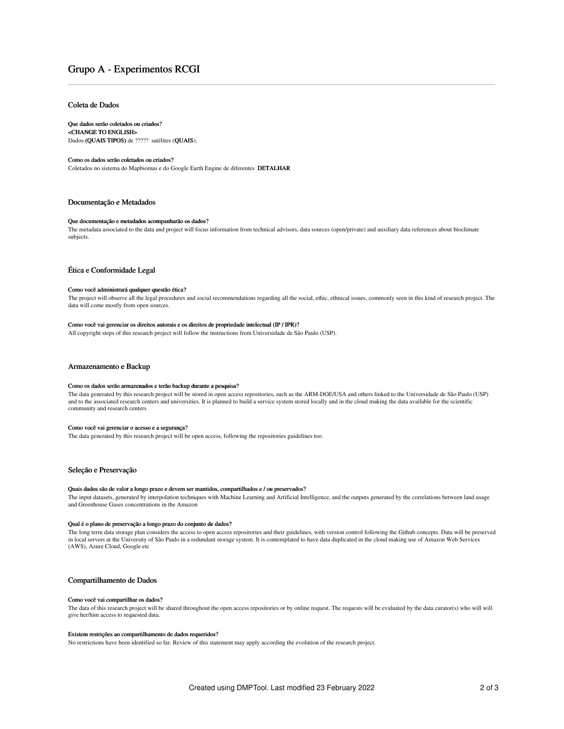# Grupo A - Experimentos RCGI

### Coleta de Dados

## Que dados serão coletados ou criados?

<CHANGE TO ENGLISH> Dados (QUAIS TIPOS) de ????? satélites (QUAIS).

#### Como os dados serão coletados ou criados?

Coletados no sistema do Mapbiomas e do Google Earth Engine de diferentes DETALHAR

## Documentação e Metadados

#### Que documentação e metadados acompanharão os dados?

The metadata associated to the data and project will focus information from technical advisors, data sources (open/private) and auxiliary data references about bioclimate subjects.

### Ética e Conformidade Legal

#### Como você administrará qualquer questão ética?

The project will observe all the legal procedures and social recommendations regarding all the social, ethic, ethnical issues, commonly seen in this kind of research project. The data will come mostly from open sources.

### Como você vai gerenciar os direitos autorais e os direitos de propriedade intelectual (IP / IPR)?

All copyright steps of this research project will follow the instructions from Universidade de São Paulo (USP).

#### Armazenamento e Backup

#### Como os dados serão armazenados e terão backup durante a pesquisa?

The data generated by this research project will be stored in open access repositories, such as the ARM-DOE/USA and others linked to the Universidade de São Paulo (USP) and to the associated research centers and universities. It is planned to build a service system stored locally and in the cloud making the data available for the scientific community and research centers

#### Como você vai gerenciar o acesso e a segurança?

The data generated by this research project will be open access, following the repositories guidelines too.

## Seleção e Preservação

#### Quais dados são de valor a longo prazo e devem ser mantidos, compartilhados e / ou preservados?

The input datasets, generated by interpolation techniques with Machine Learning and Artificial Intelligence, and the outputs generated by the correlations between land usage and Greenhouse Gases concentrations in the Amazon

#### Qual é o plano de preservação a longo prazo do conjunto de dados?

The long term data storage plan considers the access to open access repositories and their guidelines, with version control following the Github concepts. Data will be preserved in local servers at the University of São Paulo in a redundant storage system. It is contemplated to have data duplicated in the cloud making use of Amazon Web Services (AWS), Azure Cloud, Google etc

### Compartilhamento de Dados

#### Como você vai compartilhar os dados?

The data of this research project will be shared throughout the open access repositories or by online request. The requests will be evaluated by the data curator(s) who will will give her/him access to requested data.

#### Existem restrições ao compartilhamento de dados requeridos?

No restrictions have been identified so far. Review of this statement may apply according the evolution of the research project.